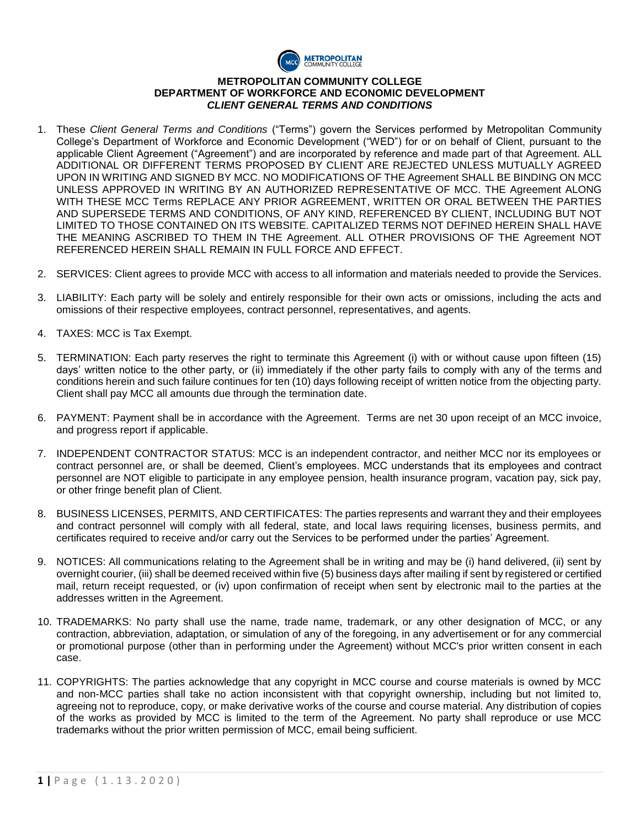

## **METROPOLITAN COMMUNITY COLLEGE DEPARTMENT OF WORKFORCE AND ECONOMIC DEVELOPMENT**  *CLIENT GENERAL TERMS AND CONDITIONS*

- 1. These *Client General Terms and Conditions* ("Terms") govern the Services performed by Metropolitan Community College's Department of Workforce and Economic Development ("WED") for or on behalf of Client, pursuant to the applicable Client Agreement ("Agreement") and are incorporated by reference and made part of that Agreement. ALL ADDITIONAL OR DIFFERENT TERMS PROPOSED BY CLIENT ARE REJECTED UNLESS MUTUALLY AGREED UPON IN WRITING AND SIGNED BY MCC. NO MODIFICATIONS OF THE Agreement SHALL BE BINDING ON MCC UNLESS APPROVED IN WRITING BY AN AUTHORIZED REPRESENTATIVE OF MCC. THE Agreement ALONG WITH THESE MCC Terms REPLACE ANY PRIOR AGREEMENT, WRITTEN OR ORAL BETWEEN THE PARTIES AND SUPERSEDE TERMS AND CONDITIONS, OF ANY KIND, REFERENCED BY CLIENT, INCLUDING BUT NOT LIMITED TO THOSE CONTAINED ON ITS WEBSITE. CAPITALIZED TERMS NOT DEFINED HEREIN SHALL HAVE THE MEANING ASCRIBED TO THEM IN THE Agreement. ALL OTHER PROVISIONS OF THE Agreement NOT REFERENCED HEREIN SHALL REMAIN IN FULL FORCE AND EFFECT.
- 2. SERVICES: Client agrees to provide MCC with access to all information and materials needed to provide the Services.
- 3. LIABILITY: Each party will be solely and entirely responsible for their own acts or omissions, including the acts and omissions of their respective employees, contract personnel, representatives, and agents.
- 4. TAXES: MCC is Tax Exempt.
- 5. TERMINATION: Each party reserves the right to terminate this Agreement (i) with or without cause upon fifteen (15) days' written notice to the other party, or (ii) immediately if the other party fails to comply with any of the terms and conditions herein and such failure continues for ten (10) days following receipt of written notice from the objecting party. Client shall pay MCC all amounts due through the termination date.
- 6. PAYMENT: Payment shall be in accordance with the Agreement. Terms are net 30 upon receipt of an MCC invoice, and progress report if applicable.
- 7. INDEPENDENT CONTRACTOR STATUS: MCC is an independent contractor, and neither MCC nor its employees or contract personnel are, or shall be deemed, Client's employees. MCC understands that its employees and contract personnel are NOT eligible to participate in any employee pension, health insurance program, vacation pay, sick pay, or other fringe benefit plan of Client.
- 8. BUSINESS LICENSES, PERMITS, AND CERTIFICATES: The parties represents and warrant they and their employees and contract personnel will comply with all federal, state, and local laws requiring licenses, business permits, and certificates required to receive and/or carry out the Services to be performed under the parties' Agreement.
- 9. NOTICES: All communications relating to the Agreement shall be in writing and may be (i) hand delivered, (ii) sent by overnight courier, (iii) shall be deemed received within five (5) business days after mailing if sent by registered or certified mail, return receipt requested, or (iv) upon confirmation of receipt when sent by electronic mail to the parties at the addresses written in the Agreement.
- 10. TRADEMARKS: No party shall use the name, trade name, trademark, or any other designation of MCC, or any contraction, abbreviation, adaptation, or simulation of any of the foregoing, in any advertisement or for any commercial or promotional purpose (other than in performing under the Agreement) without MCC's prior written consent in each case.
- 11. COPYRIGHTS: The parties acknowledge that any copyright in MCC course and course materials is owned by MCC and non-MCC parties shall take no action inconsistent with that copyright ownership, including but not limited to, agreeing not to reproduce, copy, or make derivative works of the course and course material. Any distribution of copies of the works as provided by MCC is limited to the term of the Agreement. No party shall reproduce or use MCC trademarks without the prior written permission of MCC, email being sufficient.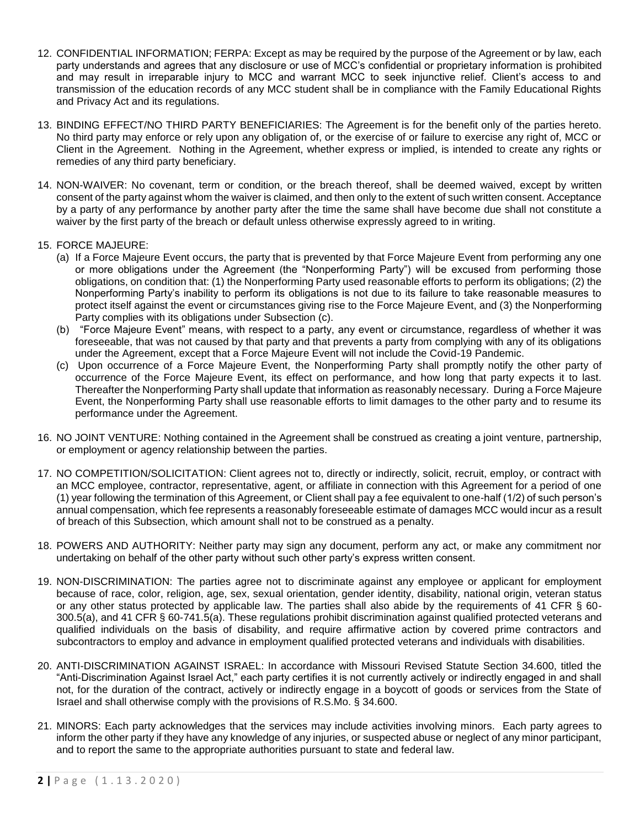- 12. CONFIDENTIAL INFORMATION; FERPA: Except as may be required by the purpose of the Agreement or by law, each party understands and agrees that any disclosure or use of MCC's confidential or proprietary information is prohibited and may result in irreparable injury to MCC and warrant MCC to seek injunctive relief. Client's access to and transmission of the education records of any MCC student shall be in compliance with the Family Educational Rights and Privacy Act and its regulations.
- 13. BINDING EFFECT/NO THIRD PARTY BENEFICIARIES: The Agreement is for the benefit only of the parties hereto. No third party may enforce or rely upon any obligation of, or the exercise of or failure to exercise any right of, MCC or Client in the Agreement. Nothing in the Agreement, whether express or implied, is intended to create any rights or remedies of any third party beneficiary.
- 14. NON-WAIVER: No covenant, term or condition, or the breach thereof, shall be deemed waived, except by written consent of the party against whom the waiver is claimed, and then only to the extent of such written consent. Acceptance by a party of any performance by another party after the time the same shall have become due shall not constitute a waiver by the first party of the breach or default unless otherwise expressly agreed to in writing.
- 15. FORCE MAJEURE:
	- (a) If a Force Majeure Event occurs, the party that is prevented by that Force Majeure Event from performing any one or more obligations under the Agreement (the "Nonperforming Party") will be excused from performing those obligations, on condition that: (1) the Nonperforming Party used reasonable efforts to perform its obligations; (2) the Nonperforming Party's inability to perform its obligations is not due to its failure to take reasonable measures to protect itself against the event or circumstances giving rise to the Force Majeure Event, and (3) the Nonperforming Party complies with its obligations under Subsection (c).
	- (b) "Force Majeure Event" means, with respect to a party, any event or circumstance, regardless of whether it was foreseeable, that was not caused by that party and that prevents a party from complying with any of its obligations under the Agreement, except that a Force Majeure Event will not include the Covid-19 Pandemic.
	- (c) Upon occurrence of a Force Majeure Event, the Nonperforming Party shall promptly notify the other party of occurrence of the Force Majeure Event, its effect on performance, and how long that party expects it to last. Thereafter the Nonperforming Party shall update that information as reasonably necessary. During a Force Majeure Event, the Nonperforming Party shall use reasonable efforts to limit damages to the other party and to resume its performance under the Agreement.
- 16. NO JOINT VENTURE: Nothing contained in the Agreement shall be construed as creating a joint venture, partnership, or employment or agency relationship between the parties.
- 17. NO COMPETITION/SOLICITATION: Client agrees not to, directly or indirectly, solicit, recruit, employ, or contract with an MCC employee, contractor, representative, agent, or affiliate in connection with this Agreement for a period of one (1) year following the termination of this Agreement, or Client shall pay a fee equivalent to one-half (1/2) of such person's annual compensation, which fee represents a reasonably foreseeable estimate of damages MCC would incur as a result of breach of this Subsection, which amount shall not to be construed as a penalty.
- 18. POWERS AND AUTHORITY: Neither party may sign any document, perform any act, or make any commitment nor undertaking on behalf of the other party without such other party's express written consent.
- 19. NON-DISCRIMINATION: The parties agree not to discriminate against any employee or applicant for employment because of race, color, religion, age, sex, sexual orientation, gender identity, disability, national origin, veteran status or any other status protected by applicable law. The parties shall also abide by the requirements of 41 CFR § 60- 300.5(a), and 41 CFR § 60-741.5(a). These regulations prohibit discrimination against qualified protected veterans and qualified individuals on the basis of disability, and require affirmative action by covered prime contractors and subcontractors to employ and advance in employment qualified protected veterans and individuals with disabilities.
- 20. ANTI-DISCRIMINATION AGAINST ISRAEL: In accordance with Missouri Revised Statute Section 34.600, titled the "Anti-Discrimination Against Israel Act," each party certifies it is not currently actively or indirectly engaged in and shall not, for the duration of the contract, actively or indirectly engage in a boycott of goods or services from the State of Israel and shall otherwise comply with the provisions of R.S.Mo. § 34.600.
- 21. MINORS: Each party acknowledges that the services may include activities involving minors. Each party agrees to inform the other party if they have any knowledge of any injuries, or suspected abuse or neglect of any minor participant, and to report the same to the appropriate authorities pursuant to state and federal law.